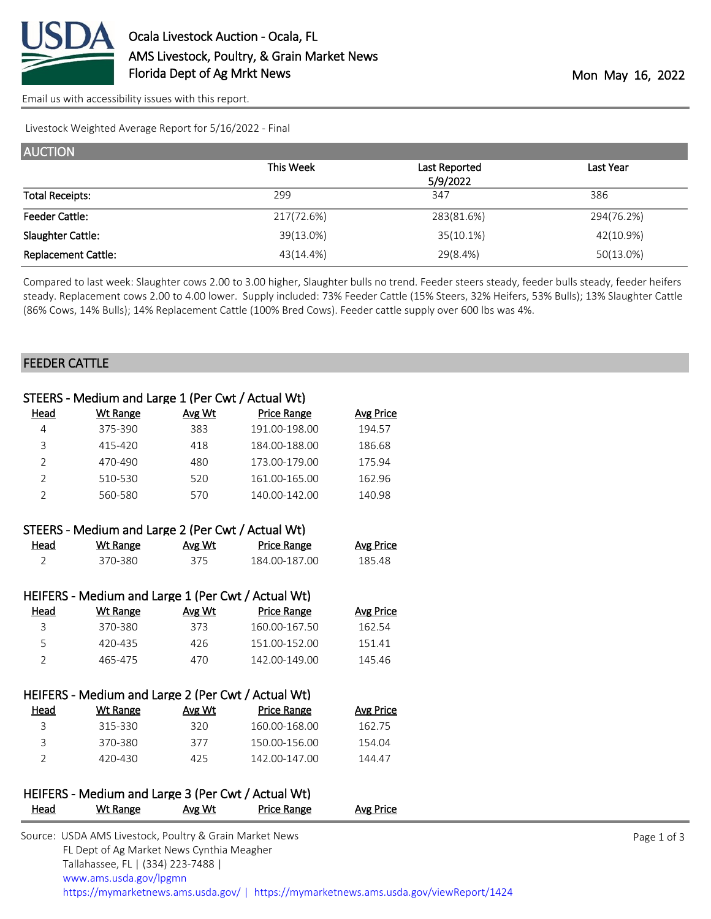

[Email us with accessibility issues with this report.](mailto:mars@ams.usda.gov?subject=508%20issue)

Livestock Weighted Average Report for 5/16/2022 - Final

| <b>AUCTION</b>             |            |               |            |
|----------------------------|------------|---------------|------------|
|                            | This Week  | Last Reported | Last Year  |
|                            |            | 5/9/2022      |            |
| <b>Total Receipts:</b>     | 299        | 347           | 386        |
| <b>Feeder Cattle:</b>      | 217(72.6%) | 283(81.6%)    | 294(76.2%) |
| Slaughter Cattle:          | 39(13.0%)  | $35(10.1\%)$  | 42(10.9%)  |
| <b>Replacement Cattle:</b> | 43(14.4%)  | 29(8.4%)      | 50(13.0%)  |

Compared to last week: Slaughter cows 2.00 to 3.00 higher, Slaughter bulls no trend. Feeder steers steady, feeder bulls steady, feeder heifers steady. Replacement cows 2.00 to 4.00 lower. Supply included: 73% Feeder Cattle (15% Steers, 32% Heifers, 53% Bulls); 13% Slaughter Cattle (86% Cows, 14% Bulls); 14% Replacement Cattle (100% Bred Cows). Feeder cattle supply over 600 lbs was 4%.

#### FEEDER CATTLE

|                | STEERS - Medium and Large 1 (Per Cwt / Actual Wt)   |        |                    |                  |
|----------------|-----------------------------------------------------|--------|--------------------|------------------|
| <u>Head</u>    | <b>Wt Range</b>                                     | Avg Wt | <b>Price Range</b> | <b>Avg Price</b> |
| 4              | 375-390                                             | 383    | 191.00-198.00      | 194.57           |
| 3              | 415-420                                             | 418    | 184.00-188.00      | 186.68           |
| $\overline{2}$ | 470-490                                             | 480    | 173.00-179.00      | 175.94           |
| $\overline{2}$ | 510-530                                             | 520    | 161.00-165.00      | 162.96           |
| $\overline{2}$ | 560-580                                             | 570    | 140.00-142.00      | 140.98           |
|                | STEERS - Medium and Large 2 (Per Cwt / Actual Wt)   |        |                    |                  |
| Head           | <b>Wt Range</b>                                     | Avg Wt | <b>Price Range</b> | <b>Avg Price</b> |
| $\overline{2}$ | 370-380                                             | 375    | 184.00-187.00      | 185.48           |
|                |                                                     |        |                    |                  |
|                | HEIFERS - Medium and Large 1 (Per Cwt / Actual Wt)  |        |                    |                  |
| Head           | <b>Wt Range</b>                                     | Avg Wt | <b>Price Range</b> | <b>Avg Price</b> |
| 3              | 370-380                                             | 373    | 160.00-167.50      | 162.54           |
| 5              | 420-435                                             | 426    | 151.00-152.00      | 151.41           |
| $\overline{2}$ | 465-475                                             | 470    | 142.00-149.00      | 145.46           |
|                |                                                     |        |                    |                  |
|                | HEIFERS - Medium and Large 2 (Per Cwt / Actual Wt)  |        |                    |                  |
| Head           | <b>Wt Range</b>                                     | Avg Wt | <b>Price Range</b> | <b>Avg Price</b> |
| 3              | 315-330                                             | 320    | 160.00-168.00      | 162.75           |
| $\overline{3}$ | 370-380                                             | 377    | 150.00-156.00      | 154.04           |
| $\overline{2}$ | 420-430                                             | 425    | 142.00-147.00      | 144.47           |
|                |                                                     |        |                    |                  |
|                | HEIEERS - Medium and Large 3 (Per Curt / Actual Wt) |        |                    |                  |

# HEIFERS - Medium and Large 3 (Per Cwt / Actual Wt) Head Wt Range Avg Wt Price Range Avg Price

| Source: USDA AMS Livestock, Poultry & Grain Market News                                |
|----------------------------------------------------------------------------------------|
| FL Dept of Ag Market News Cynthia Meagher                                              |
| Tallahassee, FL   (334) 223-7488                                                       |
| www.ams.usda.gov/lpgmn                                                                 |
| https://mymarketnews.ams.usda.gov/   https://mymarketnews.ams.usda.gov/viewReport/1424 |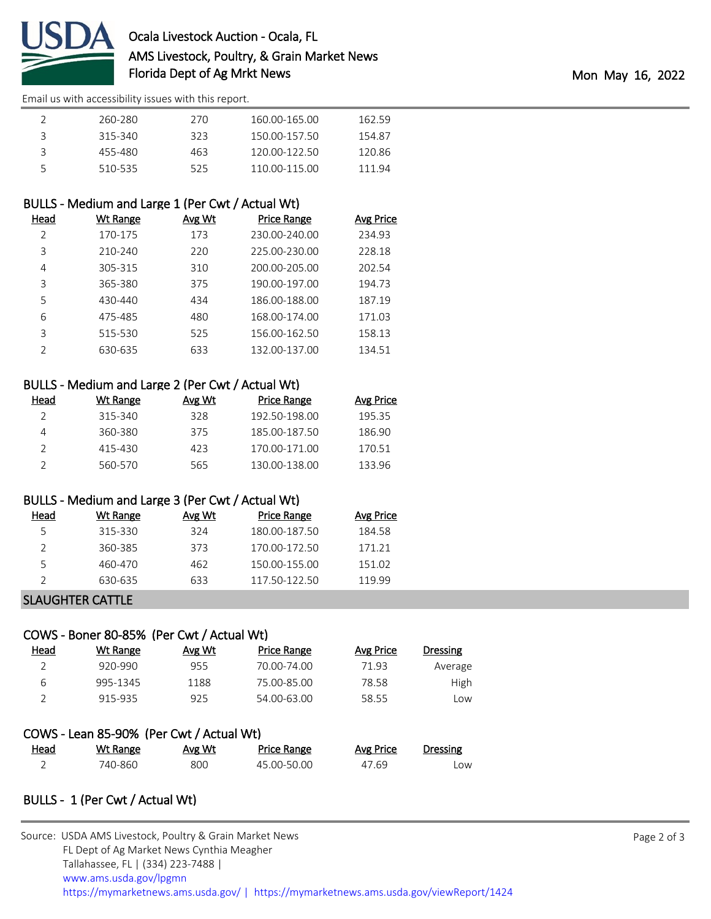

[Email us with accessibility issues with this report.](mailto:mars@ams.usda.gov?subject=508%20issue)

|   | 260-280 | 270  | 160.00-165.00 | 162.59 |
|---|---------|------|---------------|--------|
| २ | 315-340 | 323. | 150.00-157.50 | 154.87 |
| ς | 455-480 | 463  | 120.00-122.50 | 120.86 |
| 5 | 510-535 | 525  | 110.00-115.00 | 111 94 |

### BULLS - Medium and Large 1 (Per Cwt / Actual Wt)

| Head          | Wt Range | Avg Wt | <b>Price Range</b> | Avg Price |
|---------------|----------|--------|--------------------|-----------|
| $\mathcal{P}$ | 170-175  | 173    | 230.00-240.00      | 234.93    |
| 3             | 210-240  | 220    | 225.00-230.00      | 228.18    |
| 4             | 305-315  | 310    | 200.00-205.00      | 202.54    |
| 3             | 365-380  | 375    | 190.00-197.00      | 194.73    |
| 5             | 430-440  | 434    | 186.00-188.00      | 187.19    |
| 6             | 475-485  | 480    | 168.00-174.00      | 171.03    |
| 3             | 515-530  | 525    | 156.00-162.50      | 158.13    |
| っ             | 630-635  | 633    | 132.00-137.00      | 134.51    |

## BULLS - Medium and Large 2 (Per Cwt / Actual Wt)

| Head | Wt Range | Avg Wt | Price Range   | Avg Price |
|------|----------|--------|---------------|-----------|
|      | 315-340  | 328    | 192.50-198.00 | 19535     |
|      | 360-380  | 375    | 185.00-187.50 | 186.90    |
|      | 415-430  | 423    | 170.00-171.00 | 170.51    |
|      | 560-570  | 565    | 130.00-138.00 | 133.96    |

### BULLS - Medium and Large 3 (Per Cwt / Actual Wt)

| Head | Wt Range | Avg Wt | Price Range   | Avg Price |
|------|----------|--------|---------------|-----------|
| 5    | 315-330  | 324    | 180.00-187.50 | 184.58    |
|      | 360-385  | 373    | 170.00-172.50 | 171.21    |
| 5    | 460-470  | 462    | 150.00-155.00 | 151.02    |
|      | 630-635  | 633    | 117.50-122.50 | 119 99    |
|      |          |        |               |           |

### SLAUGHTER CATTLE

## COWS - Boner 80-85% (Per Cwt / Actual Wt)

| Head | Wt Range                                 | Avg Wt | Price Range | Avg Price | <b>Dressing</b> |
|------|------------------------------------------|--------|-------------|-----------|-----------------|
|      | 920-990                                  | 955    | 70.00-74.00 | 71.93     | Average         |
| 6    | 995-1345                                 | 1188   | 75.00-85.00 | 78.58     | High            |
|      | 915-935                                  | 925    | 54.00-63.00 | 58.55     | Low             |
|      | COWS - Lean 85-90% (Per Cwt / Actual Wt) |        |             |           |                 |

|      | COWS - Lean 63-3070 TEL CWL7 ACLUGI WU |        |                    |           |                 |
|------|----------------------------------------|--------|--------------------|-----------|-----------------|
| Head | Wt Range                               | Avg Wt | <b>Price Range</b> | Avg Price | <b>Dressing</b> |
|      | 740-860                                | 800    | 45.00-50.00        | 47.69     | Low             |

## BULLS - 1 (Per Cwt / Actual Wt)

| Source: USDA AMS Livestock, Poultry & Grain Market News                                |
|----------------------------------------------------------------------------------------|
| FL Dept of Ag Market News Cynthia Meagher                                              |
| Tallahassee, FL   (334) 223-7488                                                       |
| www.ams.usda.gov/lpgmn                                                                 |
| https://mymarketnews.ams.usda.gov/   https://mymarketnews.ams.usda.gov/viewReport/1424 |